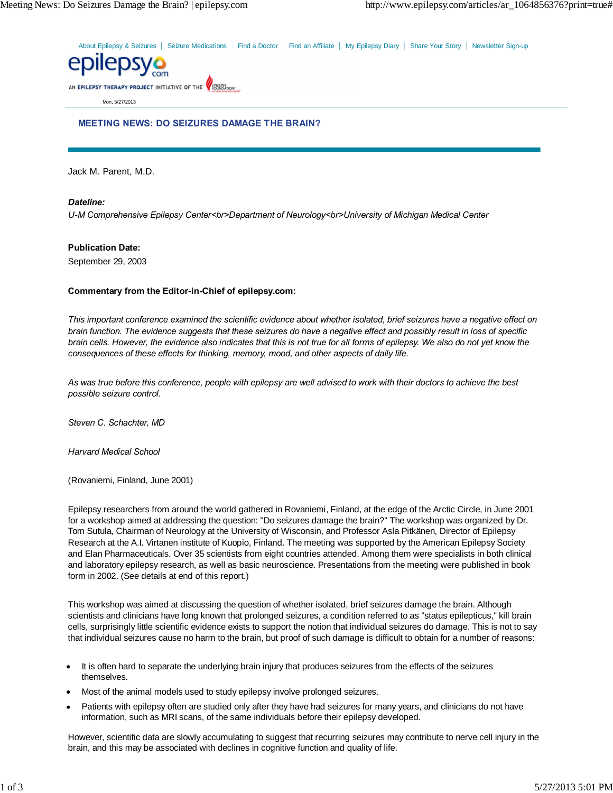About Epilepsy & Seizures | Seizure Medications | Find a Doctor | Find an Affiliate | My Epilepsy Diary | Share Your Story | Newsletter Sign-up



Mon, 5/27/2013

#### **MEETING NEWS: DO SEIZURES DAMAGE THE BRAIN?**

Jack M. Parent, M.D.

# *Dateline:*

*U-M Comprehensive Epilepsy Center<br>Department of Neurology<br>University of Michigan Medical Center*

# **Publication Date:**

September 29, 2003

#### **Commentary from the Editor-in-Chief of epilepsy.com:**

*This important conference examined the scientific evidence about whether isolated, brief seizures have a negative effect on brain function. The evidence suggests that these seizures do have a negative effect and possibly result in loss of specific brain cells. However, the evidence also indicates that this is not true for all forms of epilepsy. We also do not yet know the consequences of these effects for thinking, memory, mood, and other aspects of daily life.*

*As was true before this conference, people with epilepsy are well advised to work with their doctors to achieve the best possible seizure control.*

*Steven C. Schachter, MD*

*Harvard Medical School*

(Rovaniemi, Finland, June 2001)

Epilepsy researchers from around the world gathered in Rovaniemi, Finland, at the edge of the Arctic Circle, in June 2001 for a workshop aimed at addressing the question: "Do seizures damage the brain?" The workshop was organized by Dr. Tom Sutula, Chairman of Neurology at the University of Wisconsin, and Professor Asla Pitkänen, Director of Epilepsy Research at the A.I. Virtanen institute of Kuopio, Finland. The meeting was supported by the American Epilepsy Society and Elan Pharmaceuticals. Over 35 scientists from eight countries attended. Among them were specialists in both clinical and laboratory epilepsy research, as well as basic neuroscience. Presentations from the meeting were published in book form in 2002. (See details at end of this report.)

This workshop was aimed at discussing the question of whether isolated, brief seizures damage the brain. Although scientists and clinicians have long known that prolonged seizures, a condition referred to as "status epilepticus," kill brain cells, surprisingly little scientific evidence exists to support the notion that individual seizures do damage. This is not to say that individual seizures cause no harm to the brain, but proof of such damage is difficult to obtain for a number of reasons:

- It is often hard to separate the underlying brain injury that produces seizures from the effects of the seizures themselves.
- Most of the animal models used to study epilepsy involve prolonged seizures.
- Patients with epilepsy often are studied only after they have had seizures for many years, and clinicians do not have information, such as MRI scans, of the same individuals before their epilepsy developed.

However, scientific data are slowly accumulating to suggest that recurring seizures may contribute to nerve cell injury in the brain, and this may be associated with declines in cognitive function and quality of life.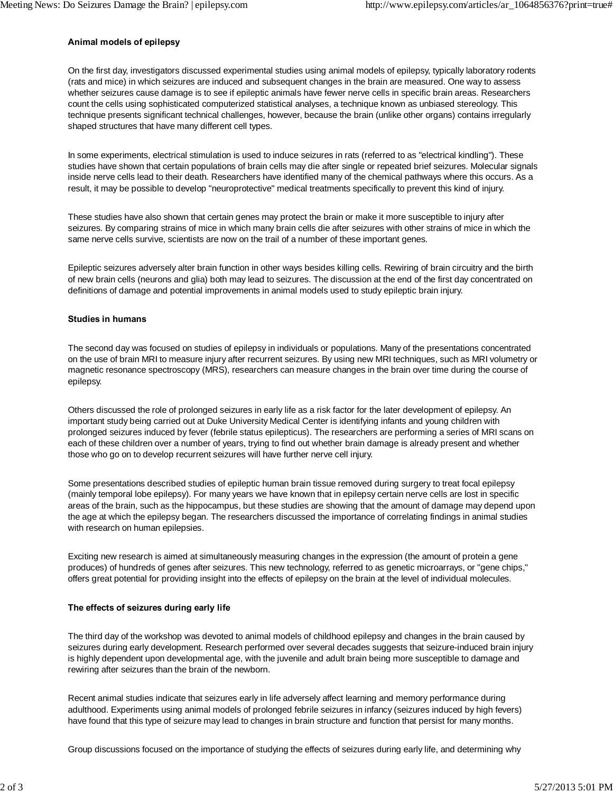# **Animal models of epilepsy**

On the first day, investigators discussed experimental studies using animal models of epilepsy, typically laboratory rodents (rats and mice) in which seizures are induced and subsequent changes in the brain are measured. One way to assess whether seizures cause damage is to see if epileptic animals have fewer nerve cells in specific brain areas. Researchers count the cells using sophisticated computerized statistical analyses, a technique known as unbiased stereology. This technique presents significant technical challenges, however, because the brain (unlike other organs) contains irregularly shaped structures that have many different cell types.

In some experiments, electrical stimulation is used to induce seizures in rats (referred to as "electrical kindling"). These studies have shown that certain populations of brain cells may die after single or repeated brief seizures. Molecular signals inside nerve cells lead to their death. Researchers have identified many of the chemical pathways where this occurs. As a result, it may be possible to develop "neuroprotective" medical treatments specifically to prevent this kind of injury.

These studies have also shown that certain genes may protect the brain or make it more susceptible to injury after seizures. By comparing strains of mice in which many brain cells die after seizures with other strains of mice in which the same nerve cells survive, scientists are now on the trail of a number of these important genes.

Epileptic seizures adversely alter brain function in other ways besides killing cells. Rewiring of brain circuitry and the birth of new brain cells (neurons and glia) both may lead to seizures. The discussion at the end of the first day concentrated on definitions of damage and potential improvements in animal models used to study epileptic brain injury.

#### **Studies in humans**

The second day was focused on studies of epilepsy in individuals or populations. Many of the presentations concentrated on the use of brain MRI to measure injury after recurrent seizures. By using new MRI techniques, such as MRI volumetry or magnetic resonance spectroscopy (MRS), researchers can measure changes in the brain over time during the course of epilepsy.

Others discussed the role of prolonged seizures in early life as a risk factor for the later development of epilepsy. An important study being carried out at Duke University Medical Center is identifying infants and young children with prolonged seizures induced by fever (febrile status epilepticus). The researchers are performing a series of MRI scans on each of these children over a number of years, trying to find out whether brain damage is already present and whether those who go on to develop recurrent seizures will have further nerve cell injury.

Some presentations described studies of epileptic human brain tissue removed during surgery to treat focal epilepsy (mainly temporal lobe epilepsy). For many years we have known that in epilepsy certain nerve cells are lost in specific areas of the brain, such as the hippocampus, but these studies are showing that the amount of damage may depend upon the age at which the epilepsy began. The researchers discussed the importance of correlating findings in animal studies with research on human epilepsies.

Exciting new research is aimed at simultaneously measuring changes in the expression (the amount of protein a gene produces) of hundreds of genes after seizures. This new technology, referred to as genetic microarrays, or "gene chips," offers great potential for providing insight into the effects of epilepsy on the brain at the level of individual molecules.

#### **The effects of seizures during early life**

The third day of the workshop was devoted to animal models of childhood epilepsy and changes in the brain caused by seizures during early development. Research performed over several decades suggests that seizure-induced brain injury is highly dependent upon developmental age, with the juvenile and adult brain being more susceptible to damage and rewiring after seizures than the brain of the newborn.

Recent animal studies indicate that seizures early in life adversely affect learning and memory performance during adulthood. Experiments using animal models of prolonged febrile seizures in infancy (seizures induced by high fevers) have found that this type of seizure may lead to changes in brain structure and function that persist for many months.

Group discussions focused on the importance of studying the effects of seizures during early life, and determining why